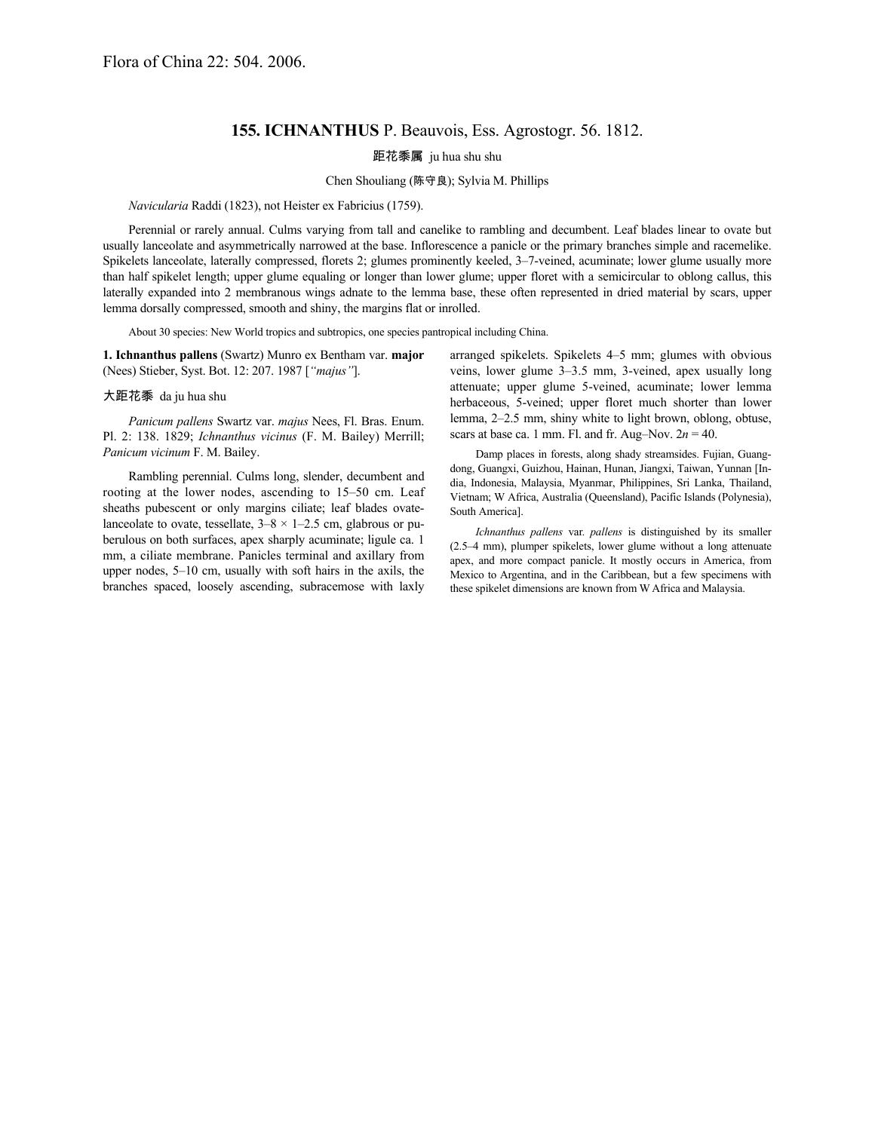## **155. ICHNANTHUS** P. Beauvois, Ess. Agrostogr. 56. 1812.

距花黍属 ju hua shu shu

## Chen Shouliang (陈守良); Sylvia M. Phillips

*Navicularia* Raddi (1823), not Heister ex Fabricius (1759).

Perennial or rarely annual. Culms varying from tall and canelike to rambling and decumbent. Leaf blades linear to ovate but usually lanceolate and asymmetrically narrowed at the base. Inflorescence a panicle or the primary branches simple and racemelike. Spikelets lanceolate, laterally compressed, florets 2; glumes prominently keeled, 3–7-veined, acuminate; lower glume usually more than half spikelet length; upper glume equaling or longer than lower glume; upper floret with a semicircular to oblong callus, this laterally expanded into 2 membranous wings adnate to the lemma base, these often represented in dried material by scars, upper lemma dorsally compressed, smooth and shiny, the margins flat or inrolled.

About 30 species: New World tropics and subtropics, one species pantropical including China.

**1. Ichnanthus pallens** (Swartz) Munro ex Bentham var. **major** (Nees) Stieber, Syst. Bot. 12: 207. 1987 [*"majus"*].

## 大距花黍 da ju hua shu

*Panicum pallens* Swartz var. *majus* Nees, Fl. Bras. Enum. Pl. 2: 138. 1829; *Ichnanthus vicinus* (F. M. Bailey) Merrill; *Panicum vicinum* F. M. Bailey.

Rambling perennial. Culms long, slender, decumbent and rooting at the lower nodes, ascending to 15–50 cm. Leaf sheaths pubescent or only margins ciliate; leaf blades ovatelanceolate to ovate, tessellate,  $3-8 \times 1-2.5$  cm, glabrous or puberulous on both surfaces, apex sharply acuminate; ligule ca. 1 mm, a ciliate membrane. Panicles terminal and axillary from upper nodes, 5–10 cm, usually with soft hairs in the axils, the branches spaced, loosely ascending, subracemose with laxly

arranged spikelets. Spikelets 4–5 mm; glumes with obvious veins, lower glume 3–3.5 mm, 3-veined, apex usually long attenuate; upper glume 5-veined, acuminate; lower lemma herbaceous, 5-veined; upper floret much shorter than lower lemma, 2–2.5 mm, shiny white to light brown, oblong, obtuse, scars at base ca. 1 mm. Fl. and fr. Aug–Nov.  $2n = 40$ .

Damp places in forests, along shady streamsides. Fujian, Guangdong, Guangxi, Guizhou, Hainan, Hunan, Jiangxi, Taiwan, Yunnan [India, Indonesia, Malaysia, Myanmar, Philippines, Sri Lanka, Thailand, Vietnam; W Africa, Australia (Queensland), Pacific Islands (Polynesia), South America].

*Ichnanthus pallens* var. *pallens* is distinguished by its smaller (2.5–4 mm), plumper spikelets, lower glume without a long attenuate apex, and more compact panicle. It mostly occurs in America, from Mexico to Argentina, and in the Caribbean, but a few specimens with these spikelet dimensions are known from W Africa and Malaysia.